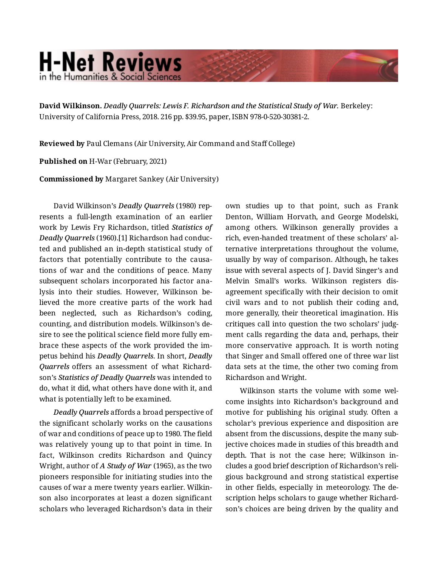## **H-Net Reviews** in the Humanities & Social Science

**David Wilkinson.** *Deadly Quarrels: Lewis F. Richardson and the Statistical Study of War.* Berkeley: University of California Press, 2018. 216 pp. \$39.95, paper, ISBN 978-0-520-30381-2.

**Reviewed by** Paul Clemans (Air University, Air Command and Staff College)

**Published on** H-War (February, 2021)

**Commissioned by** Margaret Sankey (Air University)

David Wilkinson's *Deadly Quarrels* (1980) rep‐ resents a full-length examination of an earlier work by Lewis Fry Richardson, titled *Statistics of Deadly Quarrels* (1960).[1] Richardson had conduc‐ ted and published an in-depth statistical study of factors that potentially contribute to the causa‐ tions of war and the conditions of peace. Many subsequent scholars incorporated his factor ana‐ lysis into their studies. However, Wilkinson be‐ lieved the more creative parts of the work had been neglected, such as Richardson's coding, counting, and distribution models. Wilkinson's de‐ sire to see the political science field more fully em‐ brace these aspects of the work provided the im‐ petus behind his *Deadly Quarrels*. In short, *Deadly Quarrels* offers an assessment of what Richard‐ son's *Statistics of Deadly Quarrels* was intended to do, what it did, what others have done with it, and what is potentially left to be examined.

*Deadly Quarrels* affords a broad perspective of the significant scholarly works on the causations of war and conditions of peace up to 1980. The field was relatively young up to that point in time. In fact, Wilkinson credits Richardson and Quincy Wright, author of *A Study of War* (1965), as the two pioneers responsible for initiating studies into the causes of war a mere twenty years earlier. Wilkin‐ son also incorporates at least a dozen significant scholars who leveraged Richardson's data in their

own studies up to that point, such as Frank Denton, William Horvath, and George Modelski, among others. Wilkinson generally provides a rich, even-handed treatment of these scholars' al‐ ternative interpretations throughout the volume, usually by way of comparison. Although, he takes issue with several aspects of J. David Singer's and Melvin Small's works. Wilkinson registers dis‐ agreement specifically with their decision to omit civil wars and to not publish their coding and, more generally, their theoretical imagination. His critiques call into question the two scholars' judg‐ ment calls regarding the data and, perhaps, their more conservative approach. It is worth noting that Singer and Small offered one of three war list data sets at the time, the other two coming from Richardson and Wright.

Wilkinson starts the volume with some welcome insights into Richardson's background and motive for publishing his original study. Often a scholar's previous experience and disposition are absent from the discussions, despite the many sub‐ jective choices made in studies of this breadth and depth. That is not the case here; Wilkinson in‐ cludes a good brief description of Richardson's reli‐ gious background and strong statistical expertise in other fields, especially in meteorology. The de‐ scription helps scholars to gauge whether Richard‐ son's choices are being driven by the quality and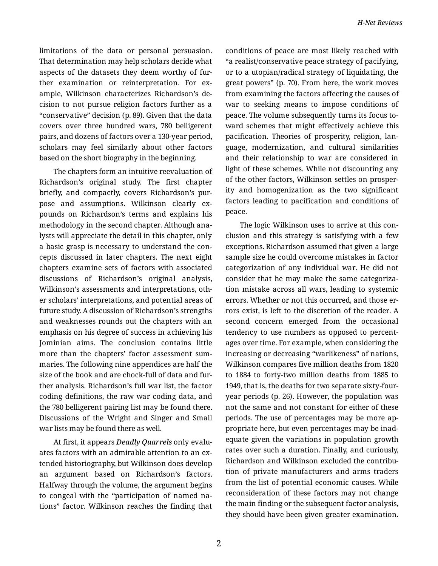limitations of the data or personal persuasion. That determination may help scholars decide what aspects of the datasets they deem worthy of fur‐ ther examination or reinterpretation. For ex‐ ample, Wilkinson characterizes Richardson's de‐ cision to not pursue religion factors further as a "conservative" decision (p. 89). Given that the data covers over three hundred wars, 780 belligerent pairs, and dozens of factors over a 130-year period, scholars may feel similarly about other factors based on the short biography in the beginning.

The chapters form an intuitive reevaluation of Richardson's original study. The first chapter briefly, and compactly, covers Richardson's pur‐ pose and assumptions. Wilkinson clearly expounds on Richardson's terms and explains his methodology in the second chapter. Although ana‐ lysts will appreciate the detail in this chapter, only a basic grasp is necessary to understand the con‐ cepts discussed in later chapters. The next eight chapters examine sets of factors with associated discussions of Richardson's original analysis, Wilkinson's assessments and interpretations, oth‐ er scholars' interpretations, and potential areas of future study. A discussion of Richardson's strengths and weaknesses rounds out the chapters with an emphasis on his degree of success in achieving his Jominian aims. The conclusion contains little more than the chapters' factor assessment sum‐ maries. The following nine appendices are half the size of the book and are chock-full of data and fur‐ ther analysis. Richardson's full war list, the factor coding definitions, the raw war coding data, and the 780 belligerent pairing list may be found there. Discussions of the Wright and Singer and Small war lists may be found there as well.

At first, it appears *Deadly Quarrels* only evalu‐ ates factors with an admirable attention to an ex‐ tended historiography, but Wilkinson does develop an argument based on Richardson's factors. Halfway through the volume, the argument begins to congeal with the "participation of named na‐ tions" factor. Wilkinson reaches the finding that conditions of peace are most likely reached with "a realist/conservative peace strategy of pacifying, or to a utopian/radical strategy of liquidating, the great powers" (p. 70). From here, the work moves from examining the factors affecting the causes of war to seeking means to impose conditions of peace. The volume subsequently turns its focus to‐ ward schemes that might effectively achieve this pacification. Theories of prosperity, religion, lan‐ guage, modernization, and cultural similarities and their relationship to war are considered in light of these schemes. While not discounting any of the other factors, Wilkinson settles on prosper‐ ity and homogenization as the two significant factors leading to pacification and conditions of peace.

The logic Wilkinson uses to arrive at this con‐ clusion and this strategy is satisfying with a few exceptions. Richardson assumed that given a large sample size he could overcome mistakes in factor categorization of any individual war. He did not consider that he may make the same categoriza‐ tion mistake across all wars, leading to systemic errors. Whether or not this occurred, and those er‐ rors exist, is left to the discretion of the reader. A second concern emerged from the occasional tendency to use numbers as opposed to percent‐ ages over time. For example, when considering the increasing or decreasing "warlikeness" of nations, Wilkinson compares five million deaths from 1820 to 1884 to forty-two million deaths from 1885 to 1949, that is, the deaths for two separate sixty-fouryear periods (p. 26). However, the population was not the same and not constant for either of these periods. The use of percentages may be more ap‐ propriate here, but even percentages may be inad‐ equate given the variations in population growth rates over such a duration. Finally, and curiously, Richardson and Wilkinson excluded the contribu‐ tion of private manufacturers and arms traders from the list of potential economic causes. While reconsideration of these factors may not change the main finding or the subsequent factor analysis, they should have been given greater examination.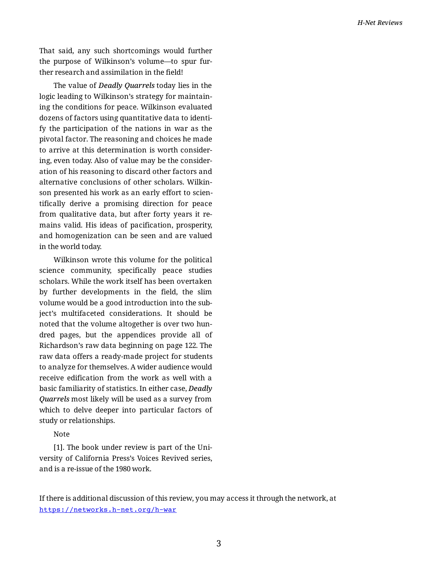That said, any such shortcomings would further the purpose of Wilkinson's volume—to spur fur‐ ther research and assimilation in the field!

The value of *Deadly Quarrels* today lies in the logic leading to Wilkinson's strategy for maintain‐ ing the conditions for peace. Wilkinson evaluated dozens of factors using quantitative data to identi‐ fy the participation of the nations in war as the pivotal factor. The reasoning and choices he made to arrive at this determination is worth consider‐ ing, even today. Also of value may be the consider‐ ation of his reasoning to discard other factors and alternative conclusions of other scholars. Wilkin‐ son presented his work as an early effort to scientifically derive a promising direction for peace from qualitative data, but after forty years it re‐ mains valid. His ideas of pacification, prosperity, and homogenization can be seen and are valued in the world today.

Wilkinson wrote this volume for the political science community, specifically peace studies scholars. While the work itself has been overtaken by further developments in the field, the slim volume would be a good introduction into the sub‐ ject's multifaceted considerations. It should be noted that the volume altogether is over two hun‐ dred pages, but the appendices provide all of Richardson's raw data beginning on page 122. The raw data offers a ready-made project for students to analyze for themselves. A wider audience would receive edification from the work as well with a basic familiarity of statistics. In either case, *Deadly Quarrels* most likely will be used as a survey from which to delve deeper into particular factors of study or relationships.

Note

[1]. The book under review is part of the Uni‐ versity of California Press's Voices Revived series, and is a re-issue of the 1980 work.

If there is additional discussion of this review, you may access it through the network, at <https://networks.h-net.org/h-war>